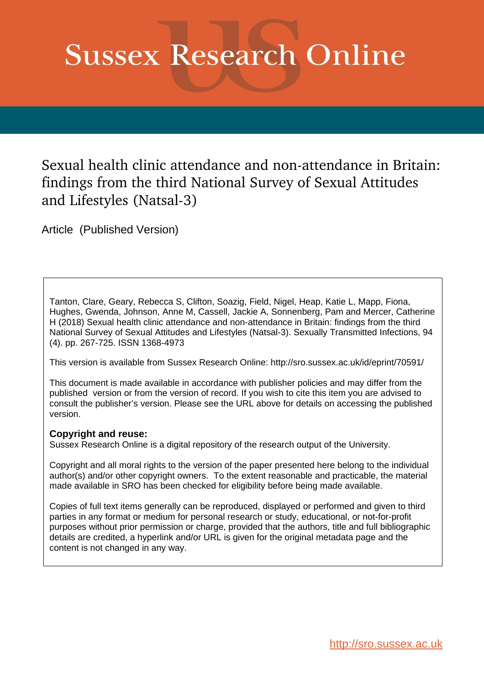# **Sussex Research Online**

Sexual health clinic attendance and non-attendance in Britain: findings from the third National Survey of Sexual Attitudes and Lifestyles (Natsal-3)

Article (Published Version)

Tanton, Clare, Geary, Rebecca S, Clifton, Soazig, Field, Nigel, Heap, Katie L, Mapp, Fiona, Hughes, Gwenda, Johnson, Anne M, Cassell, Jackie A, Sonnenberg, Pam and Mercer, Catherine H (2018) Sexual health clinic attendance and non-attendance in Britain: findings from the third National Survey of Sexual Attitudes and Lifestyles (Natsal-3). Sexually Transmitted Infections, 94 (4). pp. 267-725. ISSN 1368-4973

This version is available from Sussex Research Online: http://sro.sussex.ac.uk/id/eprint/70591/

This document is made available in accordance with publisher policies and may differ from the published version or from the version of record. If you wish to cite this item you are advised to consult the publisher's version. Please see the URL above for details on accessing the published version.

### **Copyright and reuse:**

Sussex Research Online is a digital repository of the research output of the University.

Copyright and all moral rights to the version of the paper presented here belong to the individual author(s) and/or other copyright owners. To the extent reasonable and practicable, the material made available in SRO has been checked for eligibility before being made available.

Copies of full text items generally can be reproduced, displayed or performed and given to third parties in any format or medium for personal research or study, educational, or not-for-profit purposes without prior permission or charge, provided that the authors, title and full bibliographic details are credited, a hyperlink and/or URL is given for the original metadata page and the content is not changed in any way.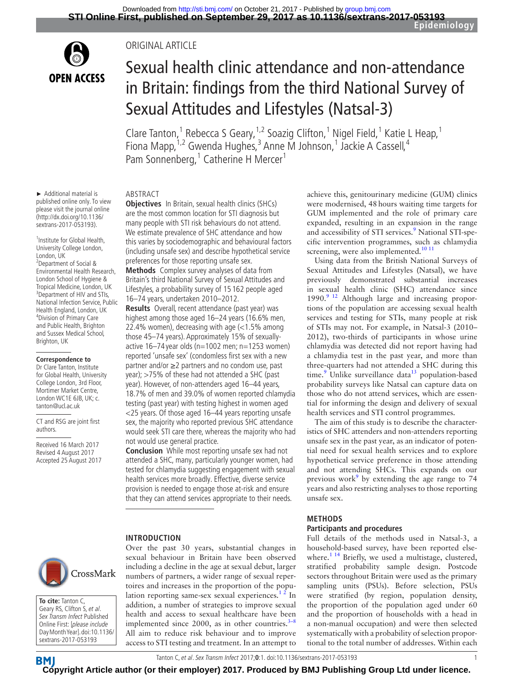

#### Original article

# Sexual health clinic attendance and non-attendance in Britain: findings from the third National Survey of Sexual Attitudes and Lifestyles (Natsal-3)

Clare Tanton,<sup>1</sup> Rebecca S Geary,<sup>1,2</sup> Soazig Clifton,<sup>1</sup> Nigel Field,<sup>1</sup> Katie L Heap,<sup>1</sup> Fiona Mapp,<sup>1,2</sup> Gwenda Hughes,<sup>3</sup> Anne M Johnson,<sup>1</sup> Jackie A Cassell,<sup>4</sup> Pam Sonnenberg,<sup>1</sup> Catherine H Mercer<sup>1</sup>

#### Abstract

► Additional material is published online only. To view please visit the journal online (http://dx.doi.org/10.1136/ sextrans-2017-053193).

1 Institute for Global Health, University College London, London, UK 2 Department of Social & Environmental Health Research, London School of Hygiene & Tropical Medicine, London, UK <sup>3</sup> <sup>3</sup> Department of HIV and STIs. National Infection Service, Public Health England, London, UK 4 Division of Primary Care and Public Health, Brighton and Sussex Medical School, Brighton, UK

#### **Correspondence to**

Dr Clare Tanton, Institute for Global Health, University College London, 3rd Floor, Mortimer Market Centre, London WC1E 6JB, UK; c. tanton@ucl.ac.uk

CT and RSG are joint first authors.

Received 16 March 2017 Revised 4 August 2017 Accepted 25 August 2017 **Objectives** In Britain, sexual health clinics (SHCs) are the most common location for STI diagnosis but many people with STI risk behaviours do not attend. We estimate prevalence of SHC attendance and how this varies by sociodemographic and behavioural factors (including unsafe sex) and describe hypothetical service preferences for those reporting unsafe sex. **Methods** Complex survey analyses of data from Britain's third National Survey of Sexual Attitudes and

Lifestyles, a probability survey of 15 162 people aged 16–74 years, undertaken 2010–2012.

**Results** Overall, recent attendance (past year) was highest among those aged 16–24 years (16.6% men, 22.4% women), decreasing with age (<1.5% among those 45–74 years). Approximately 15% of sexuallyactive 16–74 year olds ( $n=1002$  men;  $n=1253$  women) reported 'unsafe sex' (condomless first sex with a new partner and/or ≥2 partners and no condom use, past year); >75% of these had not attended a SHC (past year). However, of non-attenders aged 16–44 years, 18.7% of men and 39.0% of women reported chlamydia testing (past year) with testing highest in women aged <25 years. Of those aged 16–44 years reporting unsafe sex, the majority who reported previous SHC attendance would seek STI care there, whereas the majority who had not would use general practice.

**Conclusion** While most reporting unsafe sex had not attended a SHC, many, particularly younger women, had tested for chlamydia suggesting engagement with sexual health services more broadly. Effective, diverse service provision is needed to engage those at-risk and ensure that they can attend services appropriate to their needs.

#### **Introduction**

Over the past 30 years, substantial changes in sexual behaviour in Britain have been observed including a decline in the age at sexual debut, larger numbers of partners, a wider range of sexual repertoires and increases in the proportion of the population reporting same-sex sexual experiences.<sup>12</sup> In addition, a number of strategies to improve sexual health and access to sexual healthcare have been implemented since 2000, as in other countries. $3-8$ All aim to reduce risk behaviour and to improve access to STI testing and treatment. In an attempt to

achieve this, genitourinary medicine (GUM) clinics were modernised, 48hours waiting time targets for GUM implemented and the role of primary care expanded, resulting in an expansion in the range and accessibility of STI services.<sup>[9](#page-9-2)</sup> National STI-specific intervention programmes, such as chlamydia screening, were also implemented.<sup>10 11</sup>

Using data from the British National Surveys of Sexual Attitudes and Lifestyles (Natsal), we have previously demonstrated substantial increases in sexual health clinic (SHC) attendance since 1990.<sup>9</sup> <sup>12</sup> Although large and increasing proportions of the population are accessing sexual health services and testing for STIs, many people at risk of STIs may not. For example, in Natsal-3 (2010– 2012), two-thirds of participants in whose urine chlamydia was detected did not report having had a chlamydia test in the past year, and more than three-quarters had not attended a SHC during this time.<sup>9</sup> Unlike surveillance data<sup>[13](#page-9-4)</sup> population-based probability surveys like Natsal can capture data on those who do not attend services, which are essential for informing the design and delivery of sexual health services and STI control programmes.

The aim of this study is to describe the characteristics of SHC attenders and non-attenders reporting unsafe sex in the past year, as an indicator of potential need for sexual health services and to explore hypothetical service preference in those attending and not attending SHCs. This expands on our previous work<sup>9</sup> by extending the age range to  $74$ years and also restricting analyses to those reporting unsafe sex.

#### **Methods**

#### **Participants and procedures**

Full details of the methods used in Natsal-3, a household-based survey, have been reported else-where.<sup>[1 14](#page-9-0)</sup> Briefly, we used a multistage, clustered, stratified probability sample design. Postcode sectors throughout Britain were used as the primary sampling units (PSUs). Before selection, PSUs were stratified (by region, population density, the proportion of the population aged under 60 and the proportion of households with a head in a non-manual occupation) and were then selected systematically with a probability of selection proportional to the total number of addresses. Within each



**To cite:** Tanton C, Geary RS, Clifton S, et al. Sex Transm Infect Published Online First: [please include Day Month Year]. doi:10.1136/ sextrans-2017-053193

Tanton C, et al. Sex Transm Infect 2017;**0**:1. doi:10.1136/sextrans-2017-053193 1

**BM [Cop](http://sti.bmj.com)yright Article author (or their employer) 2017. Produced by BMJ Publishing Group Ltd under licence.**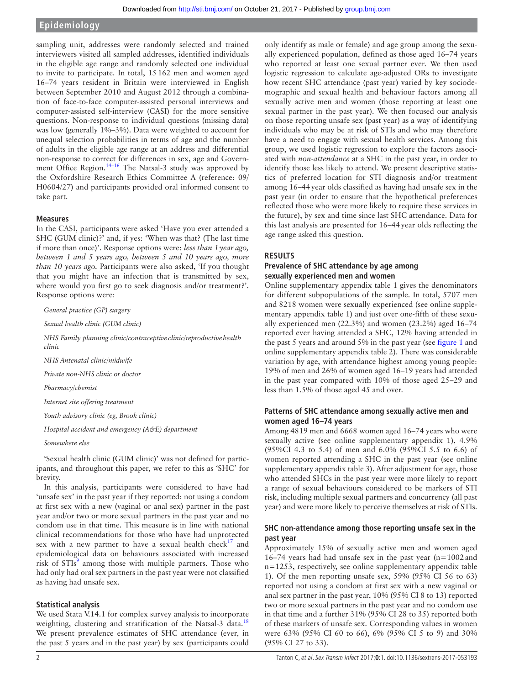sampling unit, addresses were randomly selected and trained interviewers visited all sampled addresses, identified individuals in the eligible age range and randomly selected one individual to invite to participate. In total, 15162 men and women aged 16–74 years resident in Britain were interviewed in English between September 2010 and August 2012 through a combination of face-to-face computer-assisted personal interviews and computer-assisted self-interview (CASI) for the more sensitive questions. Non-response to individual questions (missing data) was low (generally 1%–3%). Data were weighted to account for unequal selection probabilities in terms of age and the number of adults in the eligible age range at an address and differential non-response to correct for differences in sex, age and Government Office Region.<sup>14–16</sup> The Natsal-3 study was approved by the Oxfordshire Research Ethics Committee A (reference: 09/ H0604/27) and participants provided oral informed consent to take part.

#### **Measures**

In the CASI, participants were asked 'Have you ever attended a SHC (GUM clinic)?' and, if yes: 'When was that? (The last time if more than once)'. Response options were: *less than 1year ago, between 1 and 5 years ago, between 5 and 10 years ago, more than 10 years ago.* Participants were also asked, 'If you thought that you might have an infection that is transmitted by sex, where would you first go to seek diagnosis and/or treatment?'. Response options were:

*General practice (GP) surgery*

*Sexual health clinic (GUM clinic)*

*NHS Family planning clinic/contraceptive clinic/reproductivehealth clinic*

*NHS Antenatal clinic/midwife*

*Private non-NHS clinic or doctor*

*Pharmacy/chemist*

*Internet site offering treatment*

*Youth advisory clinic (eg, Brook clinic)*

*Hospital accident and emergency (A&E) department*

*Somewhere else*

'Sexual health clinic (GUM clinic)' was not defined for participants, and throughout this paper, we refer to this as 'SHC' for brevity.

In this analysis, participants were considered to have had 'unsafe sex' in the past year if they reported: not using a condom at first sex with a new (vaginal or anal sex) partner in the past year and/or two or more sexual partners in the past year and no condom use in that time. This measure is in line with national clinical recommendations for those who have had unprotected sex with a new partner to have a sexual health check $17$  and epidemiological data on behaviours associated with increased risk of STIs<sup>[9](#page-9-2)</sup> among those with multiple partners. Those who had only had oral sex partners in the past year were not classified as having had unsafe sex.

#### **Statistical analysis**

We used Stata V.14.1 for complex survey analysis to incorporate weighting, clustering and stratification of the Natsal-3 data.<sup>[18](#page-9-7)</sup> We present prevalence estimates of SHC attendance (ever, in the past 5 years and in the past year) by sex (participants could

only identify as male or female) and age group among the sexually experienced population, defined as those aged 16–74 years who reported at least one sexual partner ever. We then used logistic regression to calculate age-adjusted ORs to investigate how recent SHC attendance (past year) varied by key sociodemographic and sexual health and behaviour factors among all sexually active men and women (those reporting at least one sexual partner in the past year). We then focused our analysis on those reporting unsafe sex (past year) as a way of identifying individuals who may be at risk of STIs and who may therefore have a need to engage with sexual health services. Among this group, we used logistic regression to explore the factors associated with *non-attendance* at a SHC in the past year, in order to identify those less likely to attend. We present descriptive statistics of preferred location for STI diagnosis and/or treatment among 16–44year olds classified as having had unsafe sex in the past year (in order to ensure that the hypothetical preferences reflected those who were more likely to require these services in the future), by sex and time since last SHC attendance. Data for this last analysis are presented for 16–44year olds reflecting the age range asked this question.

#### **Results**

#### **Prevalence of SHC attendance by age among sexually experienced men and women**

Online [supplementary appendix table 1](https://dx.doi.org/10.1136/sextrans-2017-053193) gives the denominators for different subpopulations of the sample. In total, 5707 men and 8218 women were sexually experienced (see online [supple](https://dx.doi.org/10.1136/sextrans-2017-053193)[mentary appendix table 1\)](https://dx.doi.org/10.1136/sextrans-2017-053193) and just over one-fifth of these sexually experienced men (22.3%) and women (23.2%) aged 16–74 reported ever having attended a SHC, 12% having attended in the past 5 years and around 5% in the past year (see [figure](#page-3-0) 1 and online [supplementary appendix table 2\)](https://dx.doi.org/10.1136/sextrans-2017-053193). There was considerable variation by age, with attendance highest among young people: 19% of men and 26% of women aged 16–19 years had attended in the past year compared with 10% of those aged 25–29 and less than 1.5% of those aged 45 and over.

#### **Patterns of SHC attendance among sexually active men and women aged 16–74 years**

Among 4819 men and 6668 women aged 16–74 years who were sexually active (see online [supplementary appendix 1\)](https://dx.doi.org/10.1136/sextrans-2017-053193), 4.9% (95%CI 4.3 to 5.4) of men and 6.0% (95%CI 5.5 to 6.6) of women reported attending a SHC in the past year (see online [supplementary appendix table 3\)](https://dx.doi.org/10.1136/sextrans-2017-053193). After adjustment for age, those who attended SHCs in the past year were more likely to report a range of sexual behaviours considered to be markers of STI risk, including multiple sexual partners and concurrency (all past year) and were more likely to perceive themselves at risk of STIs.

#### **SHC non-attendance among those reporting unsafe sex in the past year**

Approximately 15% of sexually active men and women aged 16–74 years had had unsafe sex in the past year  $(n=1002$  and n=1253, respectively, see online [supplementary appendix table](https://dx.doi.org/10.1136/sextrans-2017-053193) [1\)](https://dx.doi.org/10.1136/sextrans-2017-053193). Of the men reporting unsafe sex, 59% (95% CI 56 to 63) reported not using a condom at first sex with a new vaginal or anal sex partner in the past year, 10% (95% CI 8 to 13) reported two or more sexual partners in the past year and no condom use in that time and a further 31% (95% CI 28 to 35) reported both of these markers of unsafe sex. Corresponding values in women were 63% (95% CI 60 to 66), 6% (95% CI 5 to 9) and 30% (95% CI 27 to 33).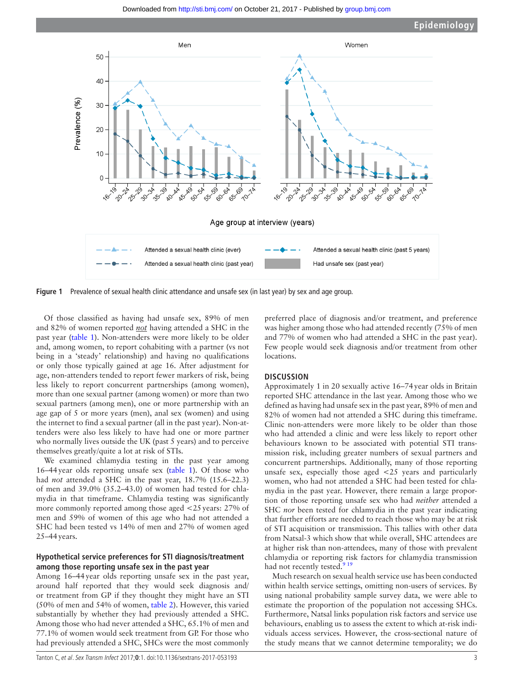

<span id="page-3-0"></span>**Figure 1** Prevalence of sexual health clinic attendance and unsafe sex (in last year) by sex and age group.

Of those classified as having had unsafe sex, 89% of men and 82% of women reported *not* having attended a SHC in the past year ([table](#page-4-0) 1). Non-attenders were more likely to be older and, among women, to report cohabiting with a partner (vs not being in a 'steady' relationship) and having no qualifications or only those typically gained at age 16. After adjustment for age, non-attenders tended to report fewer markers of risk, being less likely to report concurrent partnerships (among women), more than one sexual partner (among women) or more than two sexual partners (among men), one or more partnership with an age gap of 5 or more years (men), anal sex (women) and using the internet to find a sexual partner (all in the past year). Non-attenders were also less likely to have had one or more partner who normally lives outside the UK (past 5 years) and to perceive themselves greatly/quite a lot at risk of STIs.

We examined chlamydia testing in the past year among 16–44year olds reporting unsafe sex ([table](#page-4-0) 1). Of those who had *not* attended a SHC in the past year, 18.7% (15.6–22.3) of men and 39.0% (35.2–43.0) of women had tested for chlamydia in that timeframe. Chlamydia testing was significantly more commonly reported among those aged <25years: 27% of men and 59% of women of this age who had not attended a SHC had been tested vs 14% of men and 27% of women aged 25–44years.

#### **Hypothetical service preferences for STI diagnosis/treatment among those reporting unsafe sex in the past year**

Among 16–44year olds reporting unsafe sex in the past year, around half reported that they would seek diagnosis and/ or treatment from GP if they thought they might have an STI (50% of men and 54% of women, [table](#page-7-0) 2). However, this varied substantially by whether they had previously attended a SHC. Among those who had never attended a SHC, 65.1% of men and 77.1% of women would seek treatment from GP. For those who had previously attended a SHC, SHCs were the most commonly

preferred place of diagnosis and/or treatment, and preference was higher among those who had attended recently (75% of men and 77% of women who had attended a SHC in the past year). Few people would seek diagnosis and/or treatment from other locations.

#### **Discussion**

Approximately 1 in 20 sexually active 16–74year olds in Britain reported SHC attendance in the last year. Among those who we defined as having had unsafe sex in the past year, 89% of men and 82% of women had not attended a SHC during this timeframe. Clinic non-attenders were more likely to be older than those who had attended a clinic and were less likely to report other behaviours known to be associated with potential STI transmission risk, including greater numbers of sexual partners and concurrent partnerships. Additionally, many of those reporting unsafe sex, especially those aged <25 years and particularly women, who had not attended a SHC had been tested for chlamydia in the past year. However, there remain a large proportion of those reporting unsafe sex who had *neither* attended a SHC *nor* been tested for chlamydia in the past year indicating that further efforts are needed to reach those who may be at risk of STI acquisition or transmission. This tallies with other data from Natsal-3 which show that while overall, SHC attendees are at higher risk than non-attendees, many of those with prevalent chlamydia or reporting risk factors for chlamydia transmission had not recently tested.<sup>9</sup> <sup>19</sup>

Much research on sexual health service use has been conducted within health service settings, omitting non-users of services. By using national probability sample survey data, we were able to estimate the proportion of the population not accessing SHCs. Furthermore, Natsal links population risk factors and service use behaviours, enabling us to assess the extent to which at-risk individuals access services. However, the cross-sectional nature of the study means that we cannot determine temporality; we do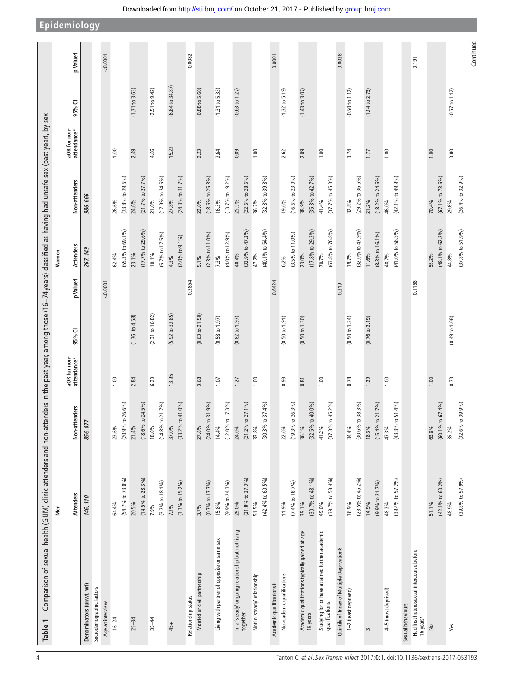| (54.7% to 73.0%)<br>$(14.5\%$ to 28.3%)<br>$(42.4%$ to 60.5%)<br>$(30.7%$ to $48.1%$<br>$(39.7%$ to 58.4%)<br>$(21.8\%$ to 37.3%)<br>$(7.4\%$ to $18.7\%$<br>$(3.3%$ to $15.2%$<br>$(0.7\%$ to 17.7%)<br>$(9.9\%$ to 24.3%)<br>(3.2% to 18.1%)<br>Attenders<br>146, 110<br>20.5%<br>64.4%<br>29.0%<br>51.5%<br>39.1%<br>49.0%<br>15.8%<br>11.9%<br>7.9%<br>$7.2\%$<br>3.7%<br>In a 'steady' ongoing relationship but not living<br>Studying for or have attained further academic<br>qualifications<br>Academic qualifications typically gained at age<br>16 years<br>Living with partner of opposite or same sex<br>Married or civil partnership<br>No academic qualifications<br>Not in 'steady' relationship<br>Academic qualifications#<br>Denominators (unwt, wt)<br>Sociodemographic factors<br>Relationship status<br>Age at interview<br>together<br>$16 - 24$<br>$35 - 44$<br>$25 - 34$<br>$45+$ | Non-attenders<br>856, 877              |                             |                            |          |                                        |                                        |                             |                           |          |
|-----------------------------------------------------------------------------------------------------------------------------------------------------------------------------------------------------------------------------------------------------------------------------------------------------------------------------------------------------------------------------------------------------------------------------------------------------------------------------------------------------------------------------------------------------------------------------------------------------------------------------------------------------------------------------------------------------------------------------------------------------------------------------------------------------------------------------------------------------------------------------------------------------------|----------------------------------------|-----------------------------|----------------------------|----------|----------------------------------------|----------------------------------------|-----------------------------|---------------------------|----------|
|                                                                                                                                                                                                                                                                                                                                                                                                                                                                                                                                                                                                                                                                                                                                                                                                                                                                                                           |                                        | aOR for non-<br>attendance* | 95% CI                     | p Valuet | Attenders                              | Non-attenders                          | aOR for non-<br>attendance* | 95% CI                    | p Valuet |
|                                                                                                                                                                                                                                                                                                                                                                                                                                                                                                                                                                                                                                                                                                                                                                                                                                                                                                           |                                        |                             |                            |          | 267, 149                               | 986,666                                |                             |                           |          |
|                                                                                                                                                                                                                                                                                                                                                                                                                                                                                                                                                                                                                                                                                                                                                                                                                                                                                                           |                                        |                             |                            |          |                                        |                                        |                             |                           |          |
|                                                                                                                                                                                                                                                                                                                                                                                                                                                                                                                                                                                                                                                                                                                                                                                                                                                                                                           |                                        |                             |                            | 0.0001   |                                        |                                        |                             |                           | 0.0001   |
|                                                                                                                                                                                                                                                                                                                                                                                                                                                                                                                                                                                                                                                                                                                                                                                                                                                                                                           | 23.6%                                  | 1.00                        |                            |          | 62.4%                                  | 26.6%                                  | 1.00                        |                           |          |
|                                                                                                                                                                                                                                                                                                                                                                                                                                                                                                                                                                                                                                                                                                                                                                                                                                                                                                           | $(20.9\% \text{ to } 26.6\%)$          |                             |                            |          | $(55.3\% \text{ to } 69.1\%)$          | $(23.8\% \text{ to } 29.6\%)$          |                             |                           |          |
|                                                                                                                                                                                                                                                                                                                                                                                                                                                                                                                                                                                                                                                                                                                                                                                                                                                                                                           | $(18.6\% \text{ to } 24.5\%)$<br>21.4% | 2.84                        | $(1.76 \text{ to } 4.58)$  |          | $(17.7%$ to 29.6%)<br>23.1%            | (21.7% to 27.7%)<br>24.6%              | 2.49                        | (1.71 to 3.63)            |          |
|                                                                                                                                                                                                                                                                                                                                                                                                                                                                                                                                                                                                                                                                                                                                                                                                                                                                                                           | 18.0%                                  | 6.23                        | (2.31 to 16.82)            |          | 10.1%                                  | 21.0%                                  | 4.86                        | (2.51 to 9.42)            |          |
|                                                                                                                                                                                                                                                                                                                                                                                                                                                                                                                                                                                                                                                                                                                                                                                                                                                                                                           | $(14.8\%$ to 21.7%)                    |                             |                            |          | (5.7% to 17.5%)                        | $(17.9\% \text{ to } 24.5\%)$          |                             |                           |          |
|                                                                                                                                                                                                                                                                                                                                                                                                                                                                                                                                                                                                                                                                                                                                                                                                                                                                                                           | (33.2% to 41.0%)<br>37.0%              | 13.95                       | $(5.92 \text{ to } 32.85)$ |          | $(2.0\% \text{ to } 9.1\% )$<br>4.3%   | $(24.3\%$ to 31.7%)<br>27.8%           | 15.22                       | (6.64 to 34.87)           |          |
|                                                                                                                                                                                                                                                                                                                                                                                                                                                                                                                                                                                                                                                                                                                                                                                                                                                                                                           |                                        |                             |                            | 0.3864   |                                        |                                        |                             |                           | 0.0082   |
|                                                                                                                                                                                                                                                                                                                                                                                                                                                                                                                                                                                                                                                                                                                                                                                                                                                                                                           | 27.8%                                  | 3.68                        | (0.63 to 21.50)            |          | $5.1\%$                                | 22.0%                                  | 2.23                        | $(0.88 \text{ to } 5.60)$ |          |
|                                                                                                                                                                                                                                                                                                                                                                                                                                                                                                                                                                                                                                                                                                                                                                                                                                                                                                           | $(24.0\% \text{ to } 31.9\%)$          |                             |                            |          | $(2.3%$ to 11.0%)                      | $(18.6\% \text{ to } 25.8\%)$          |                             |                           |          |
|                                                                                                                                                                                                                                                                                                                                                                                                                                                                                                                                                                                                                                                                                                                                                                                                                                                                                                           | 14.4%                                  | 1.07                        | (0.58 to 1.97)             |          | 7.3%                                   | 16.3%                                  | 2.64                        | (1.31 to 5.33)            |          |
|                                                                                                                                                                                                                                                                                                                                                                                                                                                                                                                                                                                                                                                                                                                                                                                                                                                                                                           | $(12.0\% \text{ to } 17.3\%)$          |                             |                            |          | $(4.0\% \text{ to } 12.9\%)$           | $(13.7\% \text{ to } 19.2\%)$          |                             |                           |          |
|                                                                                                                                                                                                                                                                                                                                                                                                                                                                                                                                                                                                                                                                                                                                                                                                                                                                                                           | $(21.2\%$ to $27.1\%)$<br>24.0%        | 1.27                        | $(0.82 \text{ to } 1.97)$  |          | $(33.9\% \text{ to } 47.2\%)$<br>40.4% | $(22.6\%$ to $28.6\%$<br>25.5%         | 0.89                        | $(0.63 \text{ to } 1.27)$ |          |
|                                                                                                                                                                                                                                                                                                                                                                                                                                                                                                                                                                                                                                                                                                                                                                                                                                                                                                           | 33.8%                                  | 1.00                        |                            |          | 47.2%                                  | 36.2%                                  | 1.00                        |                           |          |
|                                                                                                                                                                                                                                                                                                                                                                                                                                                                                                                                                                                                                                                                                                                                                                                                                                                                                                           | $(30.3\%$ to 37.4%)                    |                             |                            |          | $(40.1\%$ to 54.4%)                    | $(32.8\%$ to $39.8\%$                  |                             |                           |          |
|                                                                                                                                                                                                                                                                                                                                                                                                                                                                                                                                                                                                                                                                                                                                                                                                                                                                                                           |                                        |                             |                            | 0.6424   |                                        |                                        |                             |                           | 0.0001   |
|                                                                                                                                                                                                                                                                                                                                                                                                                                                                                                                                                                                                                                                                                                                                                                                                                                                                                                           | 22.6%                                  | 0.98                        | (0.50 to 1.91)             |          | $6.2\%$                                | 19.6%                                  | 2.62                        | $(1.32 \text{ to } 5.19)$ |          |
|                                                                                                                                                                                                                                                                                                                                                                                                                                                                                                                                                                                                                                                                                                                                                                                                                                                                                                           | $(19.3\%$ to 26.3%)                    |                             |                            |          | $(3.5%$ to $11.0%$                     | $(16.6\% \text{ to } 23.0\%)$          |                             |                           |          |
|                                                                                                                                                                                                                                                                                                                                                                                                                                                                                                                                                                                                                                                                                                                                                                                                                                                                                                           | 36.1%                                  | 0.81                        | (0.50 to 1.30)             |          | 23.0%                                  | 38.9%                                  | 2.09                        | (1.43 to 3.07)            |          |
|                                                                                                                                                                                                                                                                                                                                                                                                                                                                                                                                                                                                                                                                                                                                                                                                                                                                                                           | $(32.5\% \text{ to } 40.0\%)$          |                             |                            |          | $(17.8\%$ to 29.3%)                    | $(35.3\% \text{ to } 42.7\%)$          |                             |                           |          |
|                                                                                                                                                                                                                                                                                                                                                                                                                                                                                                                                                                                                                                                                                                                                                                                                                                                                                                           | 41.2%                                  | 1.00                        |                            |          | 70.7%                                  | 41.4%                                  | 1.00                        |                           |          |
|                                                                                                                                                                                                                                                                                                                                                                                                                                                                                                                                                                                                                                                                                                                                                                                                                                                                                                           | $(37.3\%$ to $45.2\%$                  |                             |                            |          | (63.8% to 76.8%)                       | (37.7% to 45.3%)                       |                             |                           |          |
| Quintile of Index of Multiple Deprivation§                                                                                                                                                                                                                                                                                                                                                                                                                                                                                                                                                                                                                                                                                                                                                                                                                                                                |                                        |                             |                            | 0.219    |                                        |                                        |                             |                           | 0.0028   |
| $(28.5\% \text{ to } 46.2\%)$<br>36.9%<br>1-2 (least deprived)                                                                                                                                                                                                                                                                                                                                                                                                                                                                                                                                                                                                                                                                                                                                                                                                                                            | $(30.6\%$ to $38.3\%$<br>34.4%         | 0.78                        | (0.50 to 1.24)             |          | $(32.0\%$ to $47.9\%)$<br>39.7%        | $(29.2\% \text{ to } 36.6\%)$<br>32.8% | 0.74                        | (0.50 to 1.12)            |          |
| 14.9%<br>$\sim$                                                                                                                                                                                                                                                                                                                                                                                                                                                                                                                                                                                                                                                                                                                                                                                                                                                                                           | 18.3%                                  | 1.29                        | (0.76 to 2.19)             |          | 11.6%                                  | 21.2%                                  | 1.77                        | (1.14 to 2.73)            |          |
| $(9.9\%$ to $21.7\%$                                                                                                                                                                                                                                                                                                                                                                                                                                                                                                                                                                                                                                                                                                                                                                                                                                                                                      | $(15.4\%$ to $21.7\%$                  |                             |                            |          | $(8.3%$ to 16.1%)                      | $(18.2\% \text{ to } 24.6\%)$          |                             |                           |          |
| 48.2%<br>4-5 (most deprived)                                                                                                                                                                                                                                                                                                                                                                                                                                                                                                                                                                                                                                                                                                                                                                                                                                                                              | 47.3%                                  | 1.00                        |                            |          | 48.7%                                  | 46.0%                                  | 1.00                        |                           |          |
| $(39.4\%$ to 57.2%)                                                                                                                                                                                                                                                                                                                                                                                                                                                                                                                                                                                                                                                                                                                                                                                                                                                                                       | $(43.3%$ to 51.4%)                     |                             |                            |          | $(41.0\% \text{ to } 56.5\%)$          | $(42.1\%$ to $49.9\%$                  |                             |                           |          |
| Sexual behaviours                                                                                                                                                                                                                                                                                                                                                                                                                                                                                                                                                                                                                                                                                                                                                                                                                                                                                         |                                        |                             |                            |          |                                        |                                        |                             |                           |          |
| Had first heterosexual intercourse before<br>16 years                                                                                                                                                                                                                                                                                                                                                                                                                                                                                                                                                                                                                                                                                                                                                                                                                                                     |                                        |                             |                            | 0.1168   |                                        |                                        |                             |                           | 0.191    |
| 51.1%<br>$\stackrel{\circ}{\simeq}$                                                                                                                                                                                                                                                                                                                                                                                                                                                                                                                                                                                                                                                                                                                                                                                                                                                                       | 63.8%                                  | 1.00                        |                            |          | 55.2%                                  | 70.4%                                  | 1.00                        |                           |          |
| $(42.1\%$ to 60.2%)                                                                                                                                                                                                                                                                                                                                                                                                                                                                                                                                                                                                                                                                                                                                                                                                                                                                                       | (60.1% to 67.4%)                       |                             |                            |          | $(48.1\%$ to $62.2\%)$                 | (67.1% to 73.6%)                       |                             |                           |          |
| 48.9%<br>Yes                                                                                                                                                                                                                                                                                                                                                                                                                                                                                                                                                                                                                                                                                                                                                                                                                                                                                              | 36.2%                                  | 0.73                        | $(0.49 \text{ to } 1.08)$  |          | 44.8%                                  | 29.6%                                  | 0.80                        | (0.57 to 1.12)            |          |
| $(39.8\%$ to 57.9%)                                                                                                                                                                                                                                                                                                                                                                                                                                                                                                                                                                                                                                                                                                                                                                                                                                                                                       | $(32.6\%$ to 39.9%)                    |                             |                            |          | $(37.8\%$ to $51.9\%)$                 | $(26.4\%$ to 32.9%)                    |                             |                           |          |

<span id="page-4-0"></span>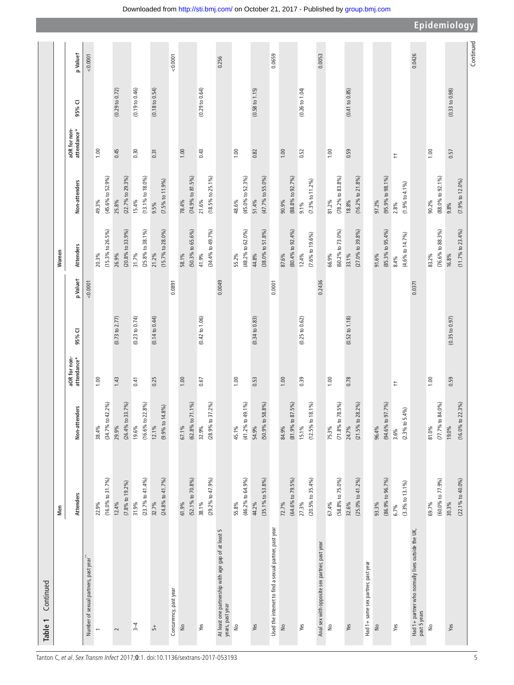| Continued<br>Table 1                                                    |                                        |                                 |                             |                           |          |                                |                                        |                             |                           |           |
|-------------------------------------------------------------------------|----------------------------------------|---------------------------------|-----------------------------|---------------------------|----------|--------------------------------|----------------------------------------|-----------------------------|---------------------------|-----------|
|                                                                         | Men                                    |                                 |                             |                           |          | Women                          |                                        |                             |                           |           |
|                                                                         | Attenders                              | Non-attenders                   | aOR for non-<br>attendance* | 95% CI                    | p Valuet | Attenders                      | Non-attenders                          | aOR for non-<br>attendance* | 95% CI                    | p Valuet  |
| Number of sexual partners, past year"                                   |                                        |                                 |                             |                           | 0.0001   |                                |                                        |                             |                           | 0.0001    |
| $\overline{ }$                                                          | 22.9%                                  | 38.4%                           | 1.00                        |                           |          | 20.3%                          | 49.3%                                  | 1.00                        |                           |           |
|                                                                         | $(16.0\% \text{ to } 31.7\%)$          | 42.2%)<br>$(34.7%$ to           |                             |                           |          | $(15.3\%$ to $26.5\%$          | $(45.6\% \text{ to } 52.9\%)$          |                             |                           |           |
| $\sim$                                                                  | $(7.8\% \text{ to } 19.2\%)$<br>12.4%  | 33.7%)<br>$(26.4%$ to<br>29.9%  | 1.43                        | $(0.73 \text{ to } 2.77)$ |          | $(20.8\%$ to 33.9%)<br>26.9%   | $(22.7%$ to $29.3%$<br>25.8%           | 0.45                        | (0.29 to 0.72)            |           |
|                                                                         |                                        |                                 |                             |                           |          |                                |                                        |                             |                           |           |
| $3 - 4$                                                                 | (23.7% to 41.4%)<br>31.9%              | 22.8%)<br>(16.6% to<br>19.6%    | 0.41                        | (0.23 to 0.74)            |          | $(25.8\%$ to 38.1%)<br>31.7%   | $(13.1\% \text{ to } 18.0\%)$<br>15.4% | 0.30                        | (0.19 to 0.46)            |           |
| 뉴                                                                       | 32.7%                                  | $12.1\%$                        | 0.25                        | (0.14 to 0.44)            |          | 21.2%                          | $9.5\%$                                | 0.31                        | $(0.18 \text{ to } 0.54)$ |           |
|                                                                         | $(24.8%$ to $41.7%$                    | 14.8%<br>(9.9% to               |                             |                           |          | (15.7% to 28.0%)               | $(7.5\% \text{ to } 11.9\%)$           |                             |                           |           |
| Concurrency, past year                                                  |                                        |                                 |                             |                           | 0.0891   |                                |                                        |                             |                           | 0.0001    |
| $\frac{1}{2}$                                                           | 61.9%                                  | 67.1%                           | 1.00                        |                           |          | 58.1%                          | 78.4%                                  | 1.00                        |                           |           |
|                                                                         | $(52.1\%$ to $70.8\%)$                 | 71.1%)<br>(62.8% to             |                             |                           |          | (50.3% to 65.6%)               | (74.9% to 81.5%                        |                             |                           |           |
| Yes                                                                     | $(29.2\%$ to $47.9\%)$<br>38.1%        | 37.2%)<br>$(28.9%$ to<br>32.9%  | 0.67                        | (0.42 to 1.06)            |          | $(34.4\%$ to $49.7\%$<br>41.9% | $(18.5\% \text{ to } 25.1\%$<br>21.6%  | 0.43                        | (0.29 to 0.64)            |           |
|                                                                         |                                        |                                 |                             |                           |          |                                |                                        |                             |                           |           |
| At least one partnership with age gap of at least 5<br>years, past year |                                        |                                 |                             |                           | 0.0049   |                                |                                        |                             |                           | 0.256     |
| ş                                                                       | 55.8%                                  | 45.1%                           | 1.00                        |                           |          | 55.2%                          | 48.6%                                  | 1.00                        |                           |           |
|                                                                         | $(46.2\%$ to $64.9\%$                  | 49.1%)<br>$(41.2%$ to           |                             |                           |          | $(48.2\% \text{ to } 62.0\%)$  | $(45.0\% \text{ to } 52.3\%)$          |                             |                           |           |
| Yes                                                                     | 44.2%                                  | 54.9%                           | 0.53                        | (0.34 to 0.83)            |          | 44.8%                          | 51.4%                                  | 0.82                        | $(0.58 \text{ to } 1.15)$ |           |
|                                                                         | $(35.1\%$ to $53.8\%)$                 | 58.8%)<br>(50.9% to             |                             |                           |          | $(38.0\% \text{ to } 51.8\%)$  | (47.7% to 55.0%)                       |                             |                           |           |
| Used the internet to find a sexual partner, past year                   |                                        |                                 |                             |                           | 0.0001   |                                |                                        |                             |                           | 0.0659    |
| $\frac{1}{2}$                                                           | 72.7%                                  | 84.9%                           | 1.00                        |                           |          | 87.6%                          | 90.9%                                  | 1.00                        |                           |           |
|                                                                         | $(64.6\%$ to 79.5%)                    | 87.5%)<br>$(81.9%$ to           |                             |                           |          | $(80.4\% \text{ to } 92.4\%)$  | (88.8% to 92.7%)                       |                             |                           |           |
| Yes                                                                     | 27.3%                                  | $15.1\%$                        | 0.39                        | (0.25 to 0.62)            |          | 12.4%                          | $9.1\%$                                | 0.52                        | (0.26 to 1.04)            |           |
|                                                                         | $(20.5\%$ to 35.4%)                    | $18.1\%$<br>(12.5% to           |                             |                           |          | $(7.6\% \text{ to } 19.6\%)$   | $(7.3\% \text{ to } 11.2\%)$           |                             |                           |           |
| Anal sex with opposite sex partner, past year                           |                                        |                                 |                             |                           | 0.2436   |                                |                                        |                             |                           | 0.0053    |
| $\geq$                                                                  | (58.8% to 75.0%)<br>67.4%              | 78.5%)<br>$(71.8%$ to<br>75.3%  | 1.00                        |                           |          | (60.2% to 73.0%)<br>66.9%      | $(78.2\%$ to $83.8\%$<br>81.2%         | 1.00                        |                           |           |
| Yes                                                                     | $(25.0\% \text{ to } 41.2\%)$<br>32.6% | 28.2%)<br>$(21.5\%$ to<br>24.7% | 0.78                        | (0.52 to 1.18)            |          | $(27.0\%$ to 39.8%)<br>33.1%   | $(16.2\% \text{ to } 21.8\%)$<br>18.8% | 0.59                        | (0.41 to 0.85)            |           |
|                                                                         |                                        |                                 |                             |                           |          |                                |                                        |                             |                           |           |
| Had 1+ same sex partner, past year<br>$\frac{1}{2}$                     | 93.3%                                  | 96.4%                           |                             |                           |          | 91.6%                          | 97.2%                                  |                             |                           |           |
|                                                                         | $(86.9\% \text{ to } 96.7\%)$          | 97.7%)<br>(94.6% to             |                             |                           |          | $(85.3\%$ to 95.4%)            | $(95.9\% \text{ to } 98.1\%)$          |                             |                           |           |
| Yes                                                                     | 6.7%                                   | $3.6\%$                         | ŧ,                          |                           |          | 8.4%                           | 2.8%                                   | $\ddagger$                  |                           |           |
|                                                                         | $(3.3\%$ to $13.1\%$                   | $(2.3\%$ to $5.4\%$             |                             |                           |          | $(4.6\% \text{ to } 14.7\%)$   | (1.9% to 4.1%)                         |                             |                           |           |
| Had 1+ partner who normally lives outside the UK,<br>past 5 years       |                                        |                                 |                             |                           | 0.0371   |                                |                                        |                             |                           | 0.0426    |
| $\frac{1}{2}$                                                           | 69.7%                                  | 81.0%                           | 1.00                        |                           |          | 83.2%                          | 90.2%                                  | 1.00                        |                           |           |
|                                                                         | $(60.0\%$ to $77.9\%)$                 | 84.0%)<br>$(77.7%$ to           |                             |                           |          | $(76.6\%$ to 88.3%)            | $(88.0\% \text{ to } 92.1\%)$          |                             |                           |           |
| Yes                                                                     | 30.3%                                  | 19.0%                           | 0.59                        | (0.35 to 0.97)            |          | 16.8%                          | 9.8%                                   | 0.57                        | (0.33 to 0.98)            |           |
|                                                                         | $(22.1\%$ to $40.0\%$                  | 22.3%<br>(16.0% to              |                             |                           |          | (11.7% to 23.4%)               | (7.9% to 12.0%)                        |                             |                           |           |
|                                                                         |                                        |                                 |                             |                           |          |                                |                                        |                             |                           | Continued |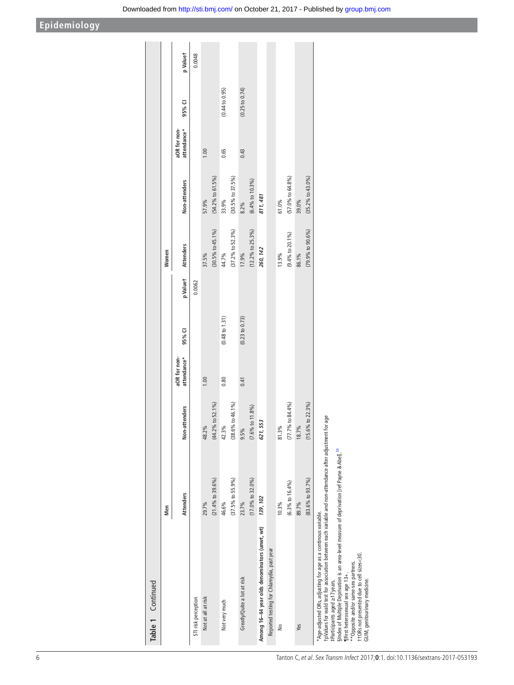| Table 1 Continued                                                                                                                                                                                                    |                               |                                |                             |                           |          |                               |                               |                             |                |          |
|----------------------------------------------------------------------------------------------------------------------------------------------------------------------------------------------------------------------|-------------------------------|--------------------------------|-----------------------------|---------------------------|----------|-------------------------------|-------------------------------|-----------------------------|----------------|----------|
|                                                                                                                                                                                                                      | Men                           |                                |                             |                           |          | Women                         |                               |                             |                |          |
|                                                                                                                                                                                                                      | <b>Attenders</b>              | Non-attenders                  | attendance*<br>aOR for non- | 95% CI                    | p Valuet | <b>Attenders</b>              | Non-attenders                 | attendance*<br>aOR for non- | 95% CI         | p Valuet |
| STI risk perception                                                                                                                                                                                                  |                               |                                |                             |                           | 0.0062   |                               |                               |                             |                | 0.0048   |
| Not at all at risk                                                                                                                                                                                                   | 29.7%                         | 48.2%                          | 1.00                        |                           |          | 37.5%                         | 57.9%                         | 1.00                        |                |          |
|                                                                                                                                                                                                                      | $(21.4\%$ to 39.6%)           | $(44.2\% \text{ to } 52.1\% )$ |                             |                           |          | $(30.5\% \text{ to } 45.1\%)$ | (54.2% to 61.5%)              |                             |                |          |
| Not very much                                                                                                                                                                                                        | 46.6%                         | 42.3%                          | 0.80                        | $(0.48 \text{ to } 1.31)$ |          | 44.7%                         | 33.9%                         | 0.65                        | (0.44 to 0.95) |          |
|                                                                                                                                                                                                                      | $(37.5%$ to 55.9%)            | $(38.6\% \text{ to } 46.1\%)$  |                             |                           |          | $(37.2\%$ to 52.3%)           | $(30.5\%$ to 37.5%)           |                             |                |          |
| Greatly/Quite a lot at risk                                                                                                                                                                                          | 23.7%                         | 9.5%                           | 0.41                        | (0.23 to 0.73)            |          | 17.9%                         | 8.2%                          | 0.43                        | (0.25 to 0.74) |          |
|                                                                                                                                                                                                                      | $(17.0\%$ to 32.0%)           | $(7.6\% \text{ to } 11.8\%)$   |                             |                           |          | $(12.2\%$ to 25.3%)           | $(6.4\% \text{ to } 10.3\%)$  |                             |                |          |
| Among 16-44 year olds denominators (unwt, wt)                                                                                                                                                                        | 139, 102                      | 621, 553                       |                             |                           |          | 260, 142                      | 811, 481                      |                             |                |          |
| Reported testing for Chlamydia, past year                                                                                                                                                                            |                               |                                |                             |                           |          |                               |                               |                             |                |          |
| ş                                                                                                                                                                                                                    | 10.3%                         | 81.3%                          |                             |                           |          | 13.9%                         | 61.0%                         |                             |                |          |
|                                                                                                                                                                                                                      | $(6.3%$ to $16.4%$            | $(77.7%$ to 84.4%)             |                             |                           |          | $(9.4\% \text{ to } 20.1\%)$  | $(57.0\%$ to 64.8%)           |                             |                |          |
| Yes                                                                                                                                                                                                                  | 89.7%                         | 18.7%                          |                             |                           |          | 86.1%                         | 39.0%                         |                             |                |          |
|                                                                                                                                                                                                                      | $(83.6\% \text{ to } 93.7\%)$ | to $22.3\%$<br>(15.6%          |                             |                           |          | (79.9% to 90.6%)              | $(35.2\% \text{ to } 43.0\%)$ |                             |                |          |
| t pValues for wald test for association between each variable and non-attendance after adjustment for age<br>*Age-adjusted ORs, adjusting for age as a continous variable.<br>$+$ Darticipante agod $\leq$ 1.7 voare |                               |                                |                             |                           |          |                               |                               |                             |                |          |

‡Participants aged ≥17 years.

+ Participants aged ≥17 years<br>sindex of Multiple Deprivation is an area-level measure of deprivation [ref Payne & Abel].<sup>33</sup><br>filfrist heterosexual sex age 13-r.<br>filfrist heterosexual sex age 13-r.<br>t + ORs not presented due §Index of Multiple Deprivation is an area-level measure of deprivation [ref Payne & Abel].<sup>[33](#page-9-8)</sup>

¶First heterosexual sex age 13+.

\*\*Opposite and/or same-sex partners.

††ORs not presented due to cell sizes<30. GUM, genitourinary medicine.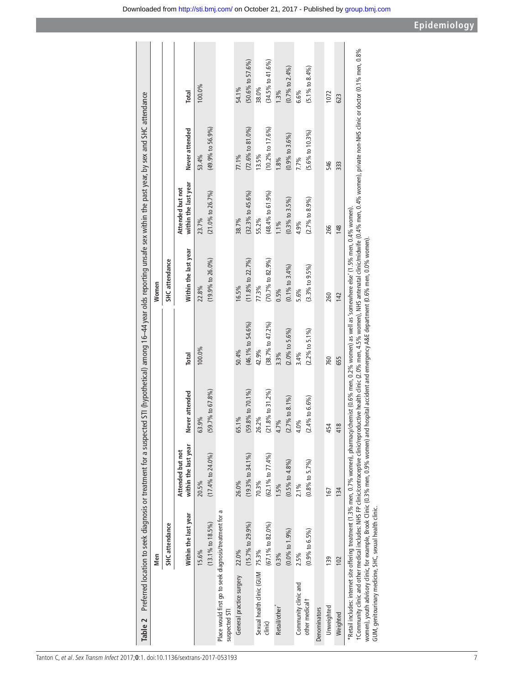| Table 2                                                                                                                                        |                               |                               |                                  |                             | Preferred location to seek diagnosis or treatment for a suspected STI (hypothetical) among 16–44 year olds reporting unsafe sex within the past year, by sex and SHC attendance                                                                                                                                                                                                                                                                                                   |                               |                               |                               |
|------------------------------------------------------------------------------------------------------------------------------------------------|-------------------------------|-------------------------------|----------------------------------|-----------------------------|-----------------------------------------------------------------------------------------------------------------------------------------------------------------------------------------------------------------------------------------------------------------------------------------------------------------------------------------------------------------------------------------------------------------------------------------------------------------------------------|-------------------------------|-------------------------------|-------------------------------|
|                                                                                                                                                | Men                           |                               |                                  |                             | Women                                                                                                                                                                                                                                                                                                                                                                                                                                                                             |                               |                               |                               |
|                                                                                                                                                | SHC attendance                |                               |                                  |                             | SHC attendance                                                                                                                                                                                                                                                                                                                                                                                                                                                                    |                               |                               |                               |
|                                                                                                                                                |                               | Attended but not              |                                  |                             |                                                                                                                                                                                                                                                                                                                                                                                                                                                                                   | Attended but not              |                               |                               |
|                                                                                                                                                | Within the last year          | within the last year          | Never attended                   | Total                       | Within the last year                                                                                                                                                                                                                                                                                                                                                                                                                                                              | within the last year          | Never attended                | Total                         |
|                                                                                                                                                | 15.6%                         | 20.5%                         | .9%<br>ශි                        | 100.0%                      | 22.8%                                                                                                                                                                                                                                                                                                                                                                                                                                                                             | 23.7%                         | 53.4%                         | 100.0%                        |
|                                                                                                                                                | $(13.1\% \text{ to } 18.5\%)$ | $(17.4\% \text{ to } 24.0\%)$ | $(59.7\% \text{ to } 67.8\%)$    |                             | $(19.9\% \text{ to } 26.0\%)$                                                                                                                                                                                                                                                                                                                                                                                                                                                     | $(21.0\% \text{ to } 26.7\%)$ | $(49.9\% \text{ to } 56.9\%)$ |                               |
| Place would first go to seek diagnosis/treatment for a<br>suspected STI                                                                        |                               |                               |                                  |                             |                                                                                                                                                                                                                                                                                                                                                                                                                                                                                   |                               |                               |                               |
| General practice surgery                                                                                                                       | 22.0%                         | 26.0%                         | 65.1%                            | 50.4%                       | 16.5%                                                                                                                                                                                                                                                                                                                                                                                                                                                                             | 38.7%                         | 77.1%                         | 54.1%                         |
|                                                                                                                                                | $(15.7\%$ to 29.9%)           | $(19.3\% \text{ to } 34.1\%)$ | $(59.8\% \text{ to } 70.1\%)$    | $(46.1\%$ to 54.6%)         | $(11.8\% \text{ to } 22.7\%)$                                                                                                                                                                                                                                                                                                                                                                                                                                                     | $(32.3\% \text{ to } 45.6\%)$ | $(72.6\% \text{ to } 81.0\%)$ | $(50.6\% \text{ to } 57.6\%)$ |
| Sexual health clinic (GUM                                                                                                                      | 75.3%                         | 70.3%                         | 2%<br>26.                        | 42.9%                       | 77.3%                                                                                                                                                                                                                                                                                                                                                                                                                                                                             | 55.2%                         | 13.5%                         | 38.0%                         |
| dimic)                                                                                                                                         | $(67.1\%$ to 82.0%)           | $(62.1\%$ to 77.4%)           | 1.8% to 31.2%)<br>$\overline{c}$ | $(38.7%$ to $47.2%$         | (70.7% to 82.9%)                                                                                                                                                                                                                                                                                                                                                                                                                                                                  | $(48.4\% \text{ to } 61.9\%)$ | $(10.2\% \text{ to } 17.6\%)$ | $(34.5%$ to $41.6%$           |
| Retail/other                                                                                                                                   | $0.3\%$                       | 1.5%                          | <b>Po</b><br>47                  | 3.3%                        | $0.5\%$                                                                                                                                                                                                                                                                                                                                                                                                                                                                           | $1.1\%$                       | 1.8%                          | 1.3%                          |
|                                                                                                                                                | $(0.0\% \text{ to } 1.9\%)$   | $(0.5\% \text{ to } 4.8\%)$   | (2.7% to 8.1%                    | $(2.0\% \text{ to } 5.6\%)$ | $(0.1\%$ to 3.4%)                                                                                                                                                                                                                                                                                                                                                                                                                                                                 | $(0.3\% \text{ to } 3.5\%)$   | $(0.9\% \text{ to } 3.6\%)$   | $(0.7%$ to 2.4%)              |
| Community clinic and                                                                                                                           | 2.5%                          | 2.1%                          | 0%<br>$\frac{0}{4}$              | 3.4%                        | 5.6%                                                                                                                                                                                                                                                                                                                                                                                                                                                                              | 4.9%                          | 7.7%                          | 6.6%                          |
| other medical <sup>†</sup>                                                                                                                     | $(0.9\% \text{ to } 6.5\%)$   | $(0.8\% \text{ to } 5.7\%)$   | $(2.4\% \text{ to } 6.6\%)$      | (2.2% to 5.1%)              | $(3.3\% \text{ to } 9.5\%)$                                                                                                                                                                                                                                                                                                                                                                                                                                                       | $(2.7\% \text{ to } 8.9\%)$   | $(5.6\% \text{ to } 10.3\%)$  | $(5.1\% \text{ to } 8.4\%)$   |
| <b>Denominators</b>                                                                                                                            |                               |                               |                                  |                             |                                                                                                                                                                                                                                                                                                                                                                                                                                                                                   |                               |                               |                               |
| Unweighted                                                                                                                                     | 139                           | 167                           | 454                              | 760                         | 260                                                                                                                                                                                                                                                                                                                                                                                                                                                                               | 266                           | 546                           | 1072                          |
| Weighted                                                                                                                                       | 102                           | 134                           | 418                              | 655                         | 142                                                                                                                                                                                                                                                                                                                                                                                                                                                                               | 148                           | 333                           | 623                           |
| women), youth advisory clinic, for example, Brook Clinic (0.3% men, 0.9% women) and<br>GUM, genitourinary medicine, SHC, sexual health clinic. |                               |                               |                                  |                             | t Community clinic and other medical indudes: NHS FP clinic/contraceptive clinic/reproductive health clinic (2.0% men, 4.5% women), NHS antenatal clinic/midwife (0.4% men, 0.4% women), private non-NHS clinic or doctor (0.1<br>*Retail includes: internet site offering treatment (1.3% men, 0.7% women), pharmacy/chemist (0.6% men, 0.2% women) as well as 'somewhere else' (1.5% men, 0.4% women)<br>hospital accident and emergency A&E department (0.6% men, 0.0% women). |                               |                               |                               |

<span id="page-7-0"></span> $\frac{1}{1}$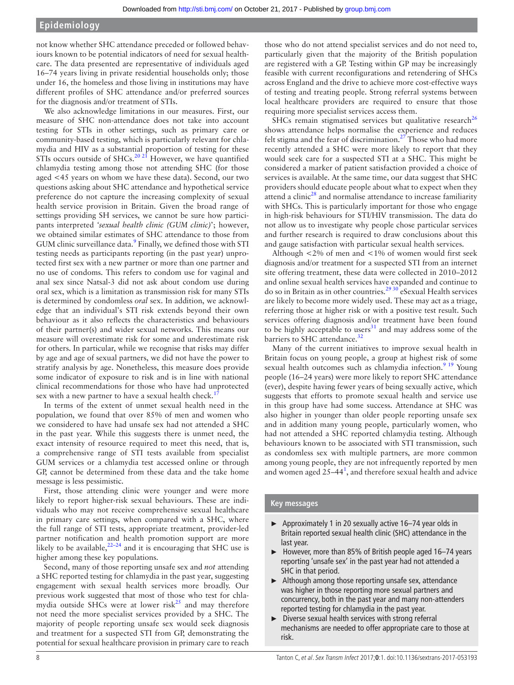not know whether SHC attendance preceded or followed behaviours known to be potential indicators of need for sexual healthcare. The data presented are representative of individuals aged 16–74 years living in private residential households only; those under 16, the homeless and those living in institutions may have different profiles of SHC attendance and/or preferred sources for the diagnosis and/or treatment of STIs.

We also acknowledge limitations in our measures. First, our measure of SHC non-attendance does not take into account testing for STIs in other settings, such as primary care or community-based testing, which is particularly relevant for chlamydia and HIV as a substantial proportion of testing for these STIs occurs outside of SHCs.<sup>[20 21](#page-9-9)</sup> However, we have quantified chlamydia testing among those not attending SHC (for those aged <45 years on whom we have these data). Second, our two questions asking about SHC attendance and hypothetical service preference do not capture the increasing complexity of sexual health service provision in Britain. Given the broad range of settings providing SH services, we cannot be sure how participants interpreted *'sexual health clinic (GUM clinic)*'; however, we obtained similar estimates of SHC attendance to those from GUM clinic surveillance data.<sup>[9](#page-9-2)</sup> Finally, we defined those with STI testing needs as participants reporting (in the past year) unprotected first sex with a new partner or more than one partner and no use of condoms. This refers to condom use for vaginal and anal sex since Natsal-3 did not ask about condom use during oral sex, which is a limitation as transmission risk for many STIs is determined by condomless *oral* sex. In addition, we acknowledge that an individual's STI risk extends beyond their own behaviour as it also reflects the characteristics and behaviours of their partner(s) and wider sexual networks. This means our measure will overestimate risk for some and underestimate risk for others. In particular, while we recognise that risks may differ by age and age of sexual partners, we did not have the power to stratify analysis by age. Nonetheless, this measure does provide some indicator of exposure to risk and is in line with national clinical recommendations for those who have had unprotected sex with a new partner to have a sexual health check.<sup>[17](#page-9-6)</sup>

In terms of the extent of unmet sexual health need in the population, we found that over 85% of men and women who we considered to have had unsafe sex had not attended a SHC in the past year. While this suggests there is unmet need, the exact intensity of resource required to meet this need, that is, a comprehensive range of STI tests available from specialist GUM services or a chlamydia test accessed online or through GP, cannot be determined from these data and the take home message is less pessimistic.

First, those attending clinic were younger and were more likely to report higher-risk sexual behaviours. These are individuals who may not receive comprehensive sexual healthcare in primary care settings, when compared with a SHC, where the full range of STI tests, appropriate treatment, provider-led partner notification and health promotion support are more likely to be available,  $2^{2-24}$  and it is encouraging that SHC use is higher among these key populations.

Second, many of those reporting unsafe sex and *not* attending a SHC reported testing for chlamydia in the past year, suggesting engagement with sexual health services more broadly. Our previous work suggested that most of those who test for chlamydia outside SHCs were at lower risk $^{25}$  and may therefore not need the more specialist services provided by a SHC. The majority of people reporting unsafe sex would seek diagnosis and treatment for a suspected STI from GP, demonstrating the potential for sexual healthcare provision in primary care to reach

those who do not attend specialist services and do not need to, particularly given that the majority of the British population are registered with a GP. Testing within GP may be increasingly feasible with current reconfigurations and retendering of SHCs across England and the drive to achieve more cost-effective ways of testing and treating people. Strong referral systems between local healthcare providers are required to ensure that those requiring more specialist services access them.

SHCs remain stigmatised services but qualitative research<sup>[26](#page-9-12)</sup> shows attendance helps normalise the experience and reduces felt stigma and the fear of discrimination.<sup>[27](#page-9-13)</sup> Those who had more recently attended a SHC were more likely to report that they would seek care for a suspected STI at a SHC. This might be considered a marker of patient satisfaction provided a choice of services is available. At the same time, our data suggest that SHC providers should educate people about what to expect when they attend a clinic $28$  and normalise attendance to increase familiarity with SHCs. This is particularly important for those who engage in high-risk behaviours for STI/HIV transmission. The data do not allow us to investigate why people chose particular services and further research is required to draw conclusions about this and gauge satisfaction with particular sexual health services.

Although <2% of men and <1% of women would first seek diagnosis and/or treatment for a suspected STI from an internet site offering treatment, these data were collected in 2010–2012 and online sexual health services have expanded and continue to do so in Britain as in other countries.<sup>2930</sup> eSexual Health services are likely to become more widely used. These may act as a triage, referring those at higher risk or with a positive test result. Such services offering diagnosis and/or treatment have been found to be highly acceptable to users $31$  and may address some of the barriers to SHC attendance.<sup>[32](#page-9-17)</sup>

Many of the current initiatives to improve sexual health in Britain focus on young people, a group at highest risk of some sexual health outcomes such as chlamydia infection.<sup>9</sup> <sup>19</sup> Young people (16–24 years) were more likely to report SHC attendance (ever), despite having fewer years of being sexually active, which suggests that efforts to promote sexual health and service use in this group have had some success. Attendance at SHC was also higher in younger than older people reporting unsafe sex and in addition many young people, particularly women, who had not attended a SHC reported chlamydia testing. Although behaviours known to be associated with STI transmission, such as condomless sex with multiple partners, are more common among young people, they are not infrequently reported by men and women aged  $25-44<sup>1</sup>$  $25-44<sup>1</sup>$  $25-44<sup>1</sup>$ , and therefore sexual health and advice

#### **Key messages**

- ► Approximately 1 in 20 sexually active 16–74 year olds in Britain reported sexual health clinic (SHC) attendance in the last year.
- ► However, more than 85% of British people aged 16–74 years reporting 'unsafe sex' in the past year had not attended a SHC in that period.
- ► Although among those reporting unsafe sex, attendance was higher in those reporting more sexual partners and concurrency, both in the past year and many non-attenders reported testing for chlamydia in the past year.
- ► Diverse sexual health services with strong referral mechanisms are needed to offer appropriate care to those at risk.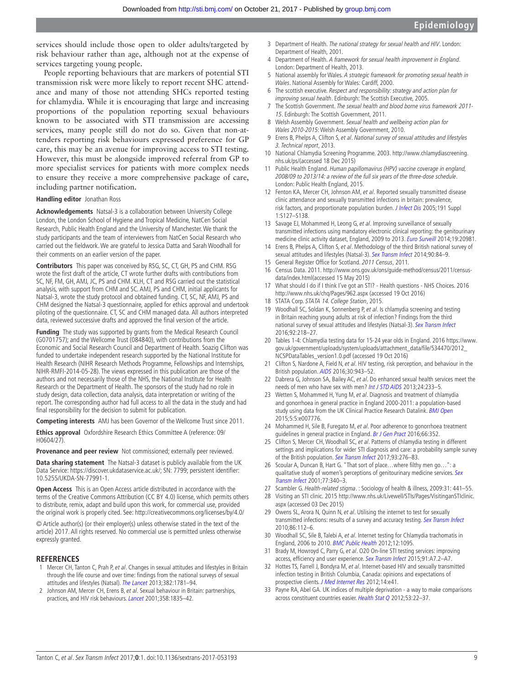services should include those open to older adults/targeted by risk behaviour rather than age, although not at the expense of services targeting young people.

People reporting behaviours that are markers of potential STI transmission risk were more likely to report recent SHC attendance and many of those not attending SHCs reported testing for chlamydia. While it is encouraging that large and increasing proportions of the population reporting sexual behaviours known to be associated with STI transmission are accessing services, many people still do not do so. Given that non-attenders reporting risk behaviours expressed preference for GP care, this may be an avenue for improving access to STI testing. However, this must be alongside improved referral from GP to more specialist services for patients with more complex needs to ensure they receive a more comprehensive package of care, including partner notification.

#### **Handling editor** Jonathan Ross

**Acknowledgements** Natsal-3 is a collaboration between University College London, the London School of Hygiene and Tropical Medicine, NatCen Social Research, Public Health England and the University of Manchester. We thank the study participants and the team of interviewers from NatCen Social Research who carried out the fieldwork. We are grateful to Jessica Datta and Sarah Woodhall for their comments on an earlier version of the paper.

**Contributors** This paper was conceived by RSG, SC, CT, GH, PS and CHM. RSG wrote the first draft of the article, CT wrote further drafts with contributions from SC, NF, FM, GH, AMJ, JC, PS and CHM. KLH, CT and RSG carried out the statistical analysis, with support from CHM and SC. AMJ, PS and CHM, initial applicants for Natsal-3, wrote the study protocol and obtained funding. CT, SC, NF, AMJ, PS and CHM designed the Natsal-3 questionnaire, applied for ethics approval and undertook piloting of the questionnaire. CT, SC and CHM managed data. All authors interpreted data, reviewed successive drafts and approved the final version of the article.

**Funding** The study was supported by grants from the Medical Research Council (G0701757); and the Wellcome Trust (084840), with contributions from the Economic and Social Research Council and Department of Health. Soazig Clifton was funded to undertake independent research supported by the National Institute for Health Research (NIHR Research Methods Programme, Fellowships and Internships, NIHR-RMFI-2014-05-28). The views expressed in this publication are those of the authors and not necessarily those of the NHS, the National Institute for Health Research or the Department of Health. The sponsors of the study had no role in study design, data collection, data analysis, data interpretation or writing of the report. The corresponding author had full access to all the data in the study and had final responsibility for the decision to submit for publication.

**Competing interests** AMJ has been Governor of the Wellcome Trust since 2011.

**Ethics approval** Oxfordshire Research Ethics Committee A (reference: 09/ H0604/27).

**Provenance and peer review** Not commissioned; externally peer reviewed.

**Data sharing statement** The Natsal-3 dataset is publicly available from the UK Data Service: [https://discover.ukdataservice.ac.uk/; SN: 7799; persistent identifier:](https://discover.ukdataservice.ac.uk/; SN: 7799; persistent identifier: 10.5255/UKDA-SN-77991-1)  [10.5255/UKDA-SN-77991-1.](https://discover.ukdataservice.ac.uk/; SN: 7799; persistent identifier: 10.5255/UKDA-SN-77991-1)

**Open Access** This is an Open Access article distributed in accordance with the terms of the Creative Commons Attribution (CC BY 4.0) license, which permits others to distribute, remix, adapt and build upon this work, for commercial use, provided the original work is properly cited. See: <http://creativecommons.org/licenses/by/4.0/>

© Article author(s) (or their employer(s) unless otherwise stated in the text of the article) 2017. All rights reserved. No commercial use is permitted unless otherwise expressly granted.

#### **References**

- <span id="page-9-0"></span>1 Mercer CH, Tanton C, Prah P, et al. Changes in sexual attitudes and lifestyles in Britain through the life course and over time: findings from the national surveys of sexual attitudes and lifestyles (Natsal). [The Lancet](http://dx.doi.org/10.1016/S0140-6736(13)62035-8) 2013;382:1781-94.
- 2 Johnson AM, Mercer CH, Erens B, et al. Sexual behaviour in Britain: partnerships, practices, and HIV risk behaviours. [Lancet](http://dx.doi.org/10.1016/S0140-6736(01)06883-0) 2001;358:1835–42.
- <span id="page-9-1"></span>3 Department of Health. The national strategy for sexual health and HIV. London: Department of Health, 2001.
- Department of Health. A framework for sexual health improvement in England. London: Department of Health, 2013.
- 5 National assembly for Wales. A strategic framework for promoting sexual health in Wales. National Assembly for Wales: Cardiff, 2000.
- 6 The scottish executive. Respect and responsibility: strategy and action plan for improving sexual health. Edinburgh: The Scottish Executive, 2005.
- 7 The Scottish Government. The sexual health and blood borne virus framework 2011- 15. Edinburgh: The Scottish Government, 2011.
- 8 Welsh Assembly Government. Sexual health and wellbeing action plan for Wales 2010-2015: Welsh Assembly Government, 2010.
- <span id="page-9-2"></span>9 Erens B, Phelps A, Clifton S, et al. National survey of sexual attitudes and lifestyles 3. Technical report, 2013.
- <span id="page-9-3"></span>10 National Chlamydia Screening Programme. 2003. [http://www.chlamydiascreening.](http://www.chlamydiascreening.nhs.uk/ps/) [nhs.uk/ps/](http://www.chlamydiascreening.nhs.uk/ps/)(accessed 18 Dec 2015)
- 11 Public Health England. Human papillomavirus (HPV) vaccine coverage in england, 2008/09 to 2013/14: a review of the full six years of the three-dose schedule. London: Public Health England, 2015.
- 12 Fenton KA, Mercer CH, Johnson AM, et al. Reported sexually transmitted disease clinic attendance and sexually transmitted infections in britain: prevalence, risk factors, and proportionate population burden. *[J Infect Dis](http://dx.doi.org/10.1086/425286)* 2005;191 Suppl 1:S127–S138.
- <span id="page-9-4"></span>13 Savage EJ, Mohammed H, Leong G, et al. Improving surveillance of sexually transmitted infections using mandatory electronic clinical reporting: the genitourinary medicine clinic activity dataset, England, 2009 to 2013. [Euro Surveill](http://dx.doi.org/10.2807/1560-7917.ES2014.19.48.20981) 2014;19:20981.
- <span id="page-9-5"></span>14 Erens B, Phelps A, Clifton S, et al. Methodology of the third British national survey of sexual attitudes and lifestyles (Natsal-3). [Sex Transm Infect](http://dx.doi.org/10.1136/sextrans-2013-051359) 2014;90:84-9.
- 15 General Register Office for Scotland. 2011 Census, 2011.
- 16 Census Data. 2011. [http://www.ons.gov.uk/ons/guide-method/census/2011/census](http://www.ons.gov.uk/ons/guide-method/census/2011/census-data/index.html)[data/index.html](http://www.ons.gov.uk/ons/guide-method/census/2011/census-data/index.html)(accessed 15 May 2015)
- <span id="page-9-6"></span>17 What should I do if I think I've got an STI? - Health questions - NHS Choices. 2016 <http://www.nhs.uk/chq/Pages/962.aspx>(accessed 19 Oct 2016)
- <span id="page-9-7"></span>18 STATA Corp. STATA 14. College Station, 2015.
- 19 Woodhall SC, Soldan K, Sonnenberg P, et al. Is chlamydia screening and testing in Britain reaching young adults at risk of infection? Findings from the third national survey of sexual attitudes and lifestyles (Natsal-3). [Sex Transm Infect](http://dx.doi.org/10.1136/sextrans-2015-052013) 2016;92:218–27.
- <span id="page-9-9"></span>20 Tables 1-4: Chlamydia testing data for 15-24 year olds in England. 2016 [https://www.](https://www.gov.uk/government/uploads/system/uploads/attachment_data/file/534470/2012_NCSPDataTables_version1.0.pdf) [gov.uk/government/uploads/system/uploads/attachment\\_data/file/534470/2012\\_](https://www.gov.uk/government/uploads/system/uploads/attachment_data/file/534470/2012_NCSPDataTables_version1.0.pdf) [NCSPDataTables\\_version1.0.pdf](https://www.gov.uk/government/uploads/system/uploads/attachment_data/file/534470/2012_NCSPDataTables_version1.0.pdf) (accessed 19 Oct 2016)
- 21 Clifton S, Nardone A, Field N, et al. HIV testing, risk perception, and behaviour in the British population. [AIDS](http://dx.doi.org/10.1097/QAD.0000000000001006) 2016;30:943-52.
- <span id="page-9-10"></span>22 Dabrera G, Johnson SA, Bailey AC, et al. Do enhanced sexual health services meet the needs of men who have sex with men? [Int J STD AIDS](http://dx.doi.org/10.1177/0956462412472449) 2013;24:233-5.
- 23 Wetten S, Mohammed H, Yung M, et al. Diagnosis and treatment of chlamydia and gonorrhoea in general practice in England 2000-2011: a population-based study using data from the UK Clinical Practice Research Datalink. **[BMJ Open](http://dx.doi.org/10.1136/bmjopen-2015-007776)** 2015;5:5:e007776.
- 24 Mohammed H, Sile B, Furegato M, et al. Poor adherence to gonorrhoea treatment guidelines in general practice in England. [Br J Gen Pract](http://dx.doi.org/10.3399/bjgp16X686077) 2016;66:352.
- <span id="page-9-11"></span>25 Clifton S, Mercer CH, Woodhall SC, et al. Patterns of chlamydia testing in different settings and implications for wider STI diagnosis and care: a probability sample survey of the British population. [Sex Transm Infect](http://dx.doi.org/10.1136/sextrans-2016-052719) 2017;93:276-83.
- <span id="page-9-12"></span>26 Scoular A, Duncan B, Hart G. "That sort of place…where filthy men go…": a qualitative study of women's perceptions of genitourinary medicine services. Sex [Transm Infect](http://dx.doi.org/10.1136/sti.77.5.340) 2001;77:340–3.
- <span id="page-9-13"></span>27 Scambler G. Health-related stigma. : Sociology of health & illness, 2009:31: 441–55.
- <span id="page-9-14"></span>28 Visiting an STI clinic. 2015 [http://www.nhs.uk/Livewell/STIs/Pages/VisitinganSTIclinic.](http://www.nhs.uk/Livewell/STIs/Pages/VisitinganSTIclinic.aspx) [aspx](http://www.nhs.uk/Livewell/STIs/Pages/VisitinganSTIclinic.aspx) (accessed 03 Dec 2015)
- <span id="page-9-15"></span>29 Owens SL, Arora N, Quinn N, et al. Utilising the internet to test for sexually transmitted infections: results of a survey and accuracy testing. [Sex Transm Infect](http://dx.doi.org/10.1136/sti.2009.037226) 2010;86:112–6.
- 30 Woodhall SC, Sile B, Talebi A, et al. Internet testing for Chlamydia trachomatis in England, 2006 to 2010. [BMC Public Health](http://dx.doi.org/10.1186/1471-2458-12-1095) 2012;12:1095.
- <span id="page-9-16"></span>31 Brady M, Howroyd C, Parry G, et al. 020 On-line STI testing services: improving access, efficiency and user experience. [Sex Transm Infect](http://dx.doi.org/10.1136/sextrans-2015-052126.20) 2015;91:A7.2-A7.
- <span id="page-9-17"></span>32 Hottes TS, Farrell J, Bondyra M, et al. Internet-based HIV and sexually transmitted infection testing in British Columbia, Canada: opinions and expectations of prospective clients. [J Med Internet Res](http://dx.doi.org/10.2196/jmir.1948) 2012;14:e41.
- <span id="page-9-8"></span>33 Payne RA, Abel GA. UK indices of multiple deprivation - a way to make comparisons across constituent countries easier. Health Stat Q 2012;53:22-37.